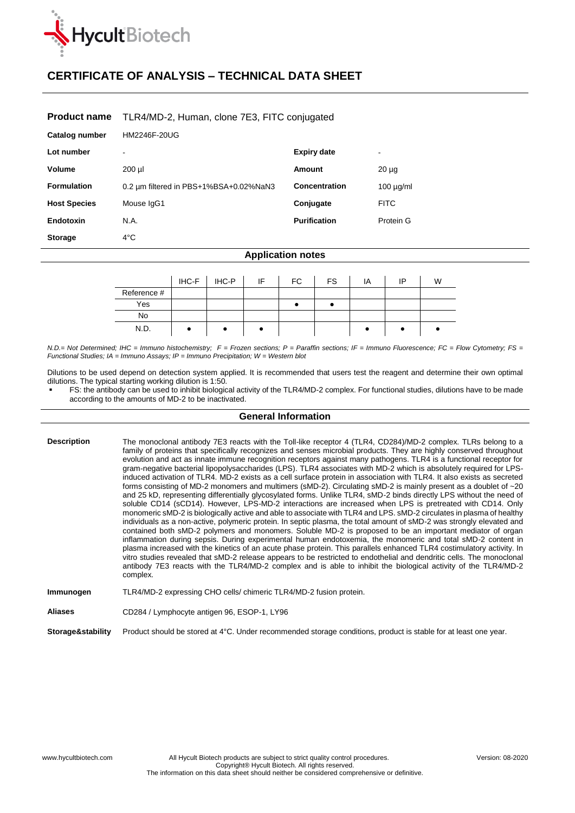

# **CERTIFICATE OF ANALYSIS – TECHNICAL DATA SHEET**

## **Product name** TLR4/MD-2, Human, clone 7E3, FITC conjugated

| Catalog number      | HM2246F-20UG                           |                     |                |
|---------------------|----------------------------------------|---------------------|----------------|
| Lot number          |                                        | <b>Expiry date</b>  | $\,$           |
| Volume              | $200$ $\mu$                            | Amount              | $20 \mu g$     |
| <b>Formulation</b>  | 0.2 um filtered in PBS+1%BSA+0.02%NaN3 | Concentration       | $100 \mu g/ml$ |
| <b>Host Species</b> | Mouse IgG1                             | Conjugate           | <b>FITC</b>    |
| Endotoxin           | N.A.                                   | <b>Purification</b> | Protein G      |
| <b>Storage</b>      | $4^{\circ}$ C                          |                     |                |

### **Application notes**

|             | IHC-F | IHC-P | IF | FC | <b>FS</b> | ΙA | ΙP | W |
|-------------|-------|-------|----|----|-----------|----|----|---|
| Reference # |       |       |    |    |           |    |    |   |
| Yes         |       |       |    |    |           |    |    |   |
| <b>No</b>   |       |       |    |    |           |    |    |   |
| N.D.        |       |       |    |    |           |    |    |   |

*N.D.= Not Determined; IHC = Immuno histochemistry; F = Frozen sections; P = Paraffin sections; IF = Immuno Fluorescence; FC = Flow Cytometry; FS = Functional Studies; IA = Immuno Assays; IP = Immuno Precipitation; W = Western blot*

Dilutions to be used depend on detection system applied. It is recommended that users test the reagent and determine their own optimal dilutions. The typical starting working dilution is 1:50.

 FS: the antibody can be used to inhibit biological activity of the TLR4/MD-2 complex. For functional studies, dilutions have to be made according to the amounts of MD-2 to be inactivated.

# **General Information**

| <b>Description</b> | The monoclonal antibody 7E3 reacts with the Toll-like receptor 4 (TLR4, CD284)/MD-2 complex. TLRs belong to a<br>family of proteins that specifically recognizes and senses microbial products. They are highly conserved throughout<br>evolution and act as innate immune recognition receptors against many pathogens. TLR4 is a functional receptor for<br>gram-negative bacterial lipopolysaccharides (LPS). TLR4 associates with MD-2 which is absolutely required for LPS-<br>induced activation of TLR4. MD-2 exists as a cell surface protein in association with TLR4. It also exists as secreted<br>forms consisting of MD-2 monomers and multimers (sMD-2). Circulating sMD-2 is mainly present as a doublet of ~20<br>and 25 kD, representing differentially glycosylated forms. Unlike TLR4, sMD-2 binds directly LPS without the need of<br>soluble CD14 (sCD14). However, LPS-MD-2 interactions are increased when LPS is pretreated with CD14. Only<br>monomeric sMD-2 is biologically active and able to associate with TLR4 and LPS. sMD-2 circulates in plasma of healthy<br>individuals as a non-active, polymeric protein. In septic plasma, the total amount of sMD-2 was strongly elevated and<br>contained both sMD-2 polymers and monomers. Soluble MD-2 is proposed to be an important mediator of organ<br>inflammation during sepsis. During experimental human endotoxemia, the monomeric and total sMD-2 content in<br>plasma increased with the kinetics of an acute phase protein. This parallels enhanced TLR4 costimulatory activity. In<br>vitro studies revealed that sMD-2 release appears to be restricted to endothelial and dendritic cells. The monoclonal<br>antibody 7E3 reacts with the TLR4/MD-2 complex and is able to inhibit the biological activity of the TLR4/MD-2<br>complex. |
|--------------------|-----------------------------------------------------------------------------------------------------------------------------------------------------------------------------------------------------------------------------------------------------------------------------------------------------------------------------------------------------------------------------------------------------------------------------------------------------------------------------------------------------------------------------------------------------------------------------------------------------------------------------------------------------------------------------------------------------------------------------------------------------------------------------------------------------------------------------------------------------------------------------------------------------------------------------------------------------------------------------------------------------------------------------------------------------------------------------------------------------------------------------------------------------------------------------------------------------------------------------------------------------------------------------------------------------------------------------------------------------------------------------------------------------------------------------------------------------------------------------------------------------------------------------------------------------------------------------------------------------------------------------------------------------------------------------------------------------------------------------------------------------------------------------------------------------------------------------------|
| Immunogen          | TLR4/MD-2 expressing CHO cells/ chimeric TLR4/MD-2 fusion protein.                                                                                                                                                                                                                                                                                                                                                                                                                                                                                                                                                                                                                                                                                                                                                                                                                                                                                                                                                                                                                                                                                                                                                                                                                                                                                                                                                                                                                                                                                                                                                                                                                                                                                                                                                                |
| <b>Aliases</b>     | CD284 / Lymphocyte antigen 96, ESOP-1, LY96                                                                                                                                                                                                                                                                                                                                                                                                                                                                                                                                                                                                                                                                                                                                                                                                                                                                                                                                                                                                                                                                                                                                                                                                                                                                                                                                                                                                                                                                                                                                                                                                                                                                                                                                                                                       |

**Storage&stability** Product should be stored at 4°C. Under recommended storage conditions, product is stable for at least one year.